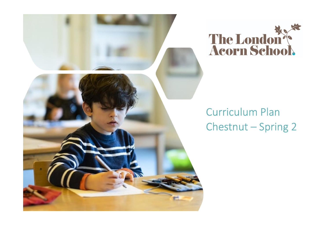



# **Curriculum Plan** Chestnut - Spring 2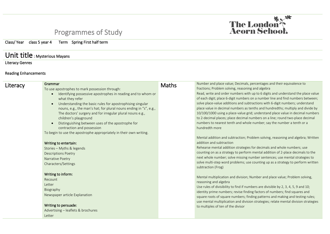## Programmes of Study

Class/ Year class 5 year 4 Term Spring First half term

#### Unit title : Mysterious Mayans

Literacy Genres

#### Reading Enhancements

| Literacy | Grammar<br>To use apostrophes to mark possession through:<br>Identifying possessive apostrophes in reading and to whom or<br>$\bullet$<br>what they refer<br>Understanding the basic rules for apostrophising singular<br>$\bullet$<br>nouns, e.g., the man's hat; for plural nouns ending in "s", e.g.,<br>The doctors' surgery and for irregular plural nouns e.g.,<br>children's playground<br>Distinguishing between uses of the apostrophe for<br>$\bullet$<br>contraction and possession<br>To begin to use the apostrophe appropriately in their own writing.<br>Writing to entertain:<br>Stories - Myths & legends<br><b>Descriptions Poetry</b><br>Narrative Poetry<br>Characters/Settings | <b>Maths</b> | Number and place value; Decimals, percentages and their equivalence to<br>fractions; Problem solving, reasoning and algebra<br>Read, write and order numbers with up to 6 digits and understand the place value<br>of each digit; place 6-digit numbers on a number line and find numbers between;<br>solve place-value additions and subtractions with 6-digit numbers; understand<br>place value in decimal numbers as tenths and hundredths; multiply and divide by<br>10/100/1000 using a place-value grid; understand place value in decimal numbers<br>to 2-decimal places; place decimal numbers on a line; round two-place decimal<br>numbers to nearest tenth and whole number; say the number a tenth or a<br>hundredth more<br>Mental addition and subtraction; Problem solving, reasoning and algebra; Written<br>addition and subtraction<br>Rehearse mental addition strategies for decimals and whole numbers; use<br>counting on as a strategy to perform mental addition of 2-place decimals to the<br>next whole number; solve missing number sentences; use mental strategies to<br>solve multi-step word problems; use counting up as a strategy to perform written<br>subtraction (Frog) |
|----------|-----------------------------------------------------------------------------------------------------------------------------------------------------------------------------------------------------------------------------------------------------------------------------------------------------------------------------------------------------------------------------------------------------------------------------------------------------------------------------------------------------------------------------------------------------------------------------------------------------------------------------------------------------------------------------------------------------|--------------|---------------------------------------------------------------------------------------------------------------------------------------------------------------------------------------------------------------------------------------------------------------------------------------------------------------------------------------------------------------------------------------------------------------------------------------------------------------------------------------------------------------------------------------------------------------------------------------------------------------------------------------------------------------------------------------------------------------------------------------------------------------------------------------------------------------------------------------------------------------------------------------------------------------------------------------------------------------------------------------------------------------------------------------------------------------------------------------------------------------------------------------------------------------------------------------------------------------|
|          | Writing to inform:<br>Recount<br>Letter<br>Biography<br>Newspaper article Explanation<br>Writing to persuade:<br>Advertising - leaflets & brochures<br>Letter                                                                                                                                                                                                                                                                                                                                                                                                                                                                                                                                       |              | Mental multiplication and division; Number and place value; Problem solving,<br>reasoning and algebra<br>Use rules of divisibility to find if numbers are divisible by 2, 3, 4, 5, 9 and 10;<br>identity prime numbers; revise finding factors of numbers; find squares and<br>square roots of square numbers; finding patterns and making and testing rules;<br>use mental multiplication and division strategies; relate mental division strategies<br>to multiples of ten of the divisor                                                                                                                                                                                                                                                                                                                                                                                                                                                                                                                                                                                                                                                                                                                   |

The London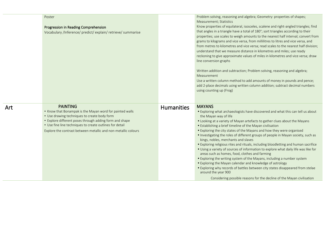| Poster<br>Progression in Reading Comprehension<br>Vocabulary /Inference/ predict/ explain/ retrieve/ summarise                                                                                                                                                                                                       |                   | Problem solving, reasoning and algebra; Geometry: properties of shapes;<br>Measurement; Statistics<br>Know properties of equilateral, isosceles, scalene and right-angled triangles; find<br>that angles in a triangle have a total of 180°; sort triangles according to their<br>properties; use scales to weigh amounts to the nearest half interval; convert from<br>grams to kilograms and vice versa, from millilitres to litres and vice versa, and<br>from metres to kilometres and vice versa; read scales to the nearest half division;<br>understand that we measure distance in kilometres and miles; use ready<br>reckoning to give approximate values of miles in kilometres and vice versa; draw<br>line conversion graphs<br>Written addition and subtraction; Problem solving, reasoning and algebra;<br>Measurement<br>Use a written column method to add amounts of money in pounds and pence;<br>add 2-place decimals using written column addition; subtract decimal numbers<br>using counting up (Frog) |
|----------------------------------------------------------------------------------------------------------------------------------------------------------------------------------------------------------------------------------------------------------------------------------------------------------------------|-------------------|------------------------------------------------------------------------------------------------------------------------------------------------------------------------------------------------------------------------------------------------------------------------------------------------------------------------------------------------------------------------------------------------------------------------------------------------------------------------------------------------------------------------------------------------------------------------------------------------------------------------------------------------------------------------------------------------------------------------------------------------------------------------------------------------------------------------------------------------------------------------------------------------------------------------------------------------------------------------------------------------------------------------------|
| <b>PAINTING</b><br>• Know that Bonampak is the Mayan word for painted walls<br>• Use drawing techniques to create body form<br>• Explore different poses through adding form and shape<br>• Use fine line techniques to create outlines for detail<br>Explore the contrast between metallic and non-metallic colours | <b>Humanities</b> | <b>MAYANS</b><br>. Exploring what archaeologists have discovered and what this can tell us about<br>the Mayan way of life<br>• Looking at a variety of Mayan artefacts to gather clues about the Mayans<br>• Establishing a brief timeline of the Mayan civilisation<br>• Exploring the city states of the Mayans and how they were organised<br>. Investigating the roles of different groups of people in Mayan society, such as<br>kings, nobles, merchants and slaves<br>• Exploring religious rites and rituals, including bloodletting and human sacrifice<br>. Using a variety of sources of information to explore what daily life was like for<br>areas such as homes, food, clothes and farming<br>• Exploring the writing system of the Mayans, including a number system<br>• Exploring the Mayan calendar and knowledge of astrology<br>• Exploring why records of battles between city states disappeared from stelae<br>around the year 900                                                                   |

Art

Considering possible reasons for the decline of the Mayan civilisation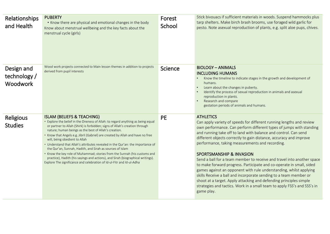| Relationships<br>and Health                   | <b>PUBERTY</b><br>• Know there are physical and emotional changes in the body<br>Know about menstrual wellbeing and the key facts about the<br>menstrual cycle (girls)                                                                                                                                                                                                                                                                                                                                                                                                                                                                                                                                                                                                      | Forest<br>School | Stick bivouacs if sufficient materials in woods. Suspend hammocks plus<br>tarp shelters. Make birch brash brooms, use foraged wild garlic for<br>pesto. Note asexual reproduction of plants, e.g. split aloe pups, chives.                                                                                                                                                                                                                                                                                                                                                                                                                                                                                                                                                                                                                                      |
|-----------------------------------------------|-----------------------------------------------------------------------------------------------------------------------------------------------------------------------------------------------------------------------------------------------------------------------------------------------------------------------------------------------------------------------------------------------------------------------------------------------------------------------------------------------------------------------------------------------------------------------------------------------------------------------------------------------------------------------------------------------------------------------------------------------------------------------------|------------------|-----------------------------------------------------------------------------------------------------------------------------------------------------------------------------------------------------------------------------------------------------------------------------------------------------------------------------------------------------------------------------------------------------------------------------------------------------------------------------------------------------------------------------------------------------------------------------------------------------------------------------------------------------------------------------------------------------------------------------------------------------------------------------------------------------------------------------------------------------------------|
| Design and<br>technology /<br><b>Woodwork</b> | Wood work projects connected to Main lesson themes in addition to projects<br>derived from pupil interests                                                                                                                                                                                                                                                                                                                                                                                                                                                                                                                                                                                                                                                                  | Science          | <b>BIOLOGY - ANIMALS</b><br><b>INCLUDING HUMANS</b><br>Know the timeline to indicate stages in the growth and development of<br>humans.<br>Learn about the changes in puberty.<br>$\bullet$<br>Identify the process of sexual reproduction in animals and asexual<br>reproduction in plants.<br>Research and compare<br>gestation periods of animals and humans.                                                                                                                                                                                                                                                                                                                                                                                                                                                                                                |
| Religious<br><b>Studies</b>                   | <b>ISLAM (BELIEFS &amp; TEACHING)</b><br>• Explore the belief in the Oneness of Allah: to regard anything as being equal<br>or partner to Allah (Shirk) is forbidden; signs of Allah's creation through<br>nature; human beings as the best of Allah's creation.<br>• Know that Angels e.g. Jibril (Gabriel) are created by Allah and have no free<br>will, being obedient to Allah<br>• Understand that Allah's attributes revealed in the Qur'an: the importance of<br>the Qur'an, Sunnah, Hadith, and Sirah as sources of Islam<br>• Know the key role of Muhammad; stories from the Sunnah (his customs and<br>practice), Hadith (his sayings and actions), and Sirah (biographical writings).<br>Explore The significance and celebration of Id-ul-Fitr and Id-ul-Adha | <b>PE</b>        | <b>ATHLETICS</b><br>Can apply variety of speeds for different running lengths and review<br>own performance. Can perform different types of jumps with standing<br>and running take off to land with balance and control. Can send<br>different objects correctly to gain distance, accuracy and improve<br>performance, taking measurements and recording.<br><b>SPORTSMANSHIP &amp; INVASION</b><br>Send a ball for a team member to receive and travel into another space<br>to make forward progress. Participate and co-operate in small, sided<br>games against an opponent with rule understanding, whilst applying<br>skills Receive a ball and incorporate sending to a team member or<br>shoot at a target. Apply attacking and defending principles simple<br>strategies and tactics. Work in a small team to apply FSS's and SSS's in<br>game play. |